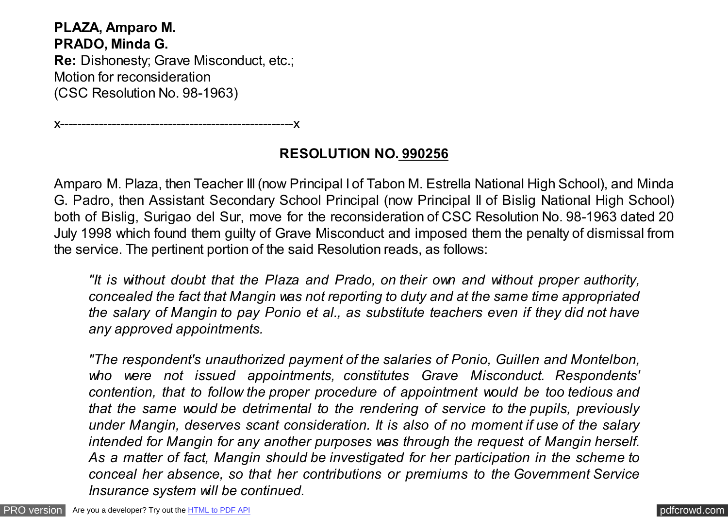**PLAZA, Amparo M. PRADO, Minda G. Re:** Dishonesty; Grave Misconduct, etc.; Motion for reconsideration (CSC Resolution No. 98-1963)

x------------------------------------------------------x

# **RESOLUTION NO. 990256**

Amparo M. Plaza, then Teacher III (now Principal I of Tabon M. Estrella National High School), and Minda G. Padro, then Assistant Secondary School Principal (now Principal II of Bislig National High School) both of Bislig, Surigao del Sur, move for the reconsideration of CSC Resolution No. 98-1963 dated 20 July 1998 which found them guilty of Grave Misconduct and imposed them the penalty of dismissal from the service. The pertinent portion of the said Resolution reads, as follows:

*"It is without doubt that the Plaza and Prado, on their own and without proper authority, concealed the fact that Mangin was not reporting to duty and at the same time appropriated the salary of Mangin to pay Ponio et al., as substitute teachers even if they did not have any approved appointments.*

*"The respondent's unauthorized payment of the salaries of Ponio, Guillen and Montelbon, who were not issued appointments, constitutes Grave Misconduct. Respondents' contention, that to follow the proper procedure of appointment would be too tedious and that the same would be detrimental to the rendering of service to the pupils, previously under Mangin, deserves scant consideration. It is also of no moment if use of the salary intended for Mangin for any another purposes was through the request of Mangin herself. As a matter of fact, Mangin should be investigated for her participation in the scheme to conceal her absence, so that her contributions or premiums to the Government Service Insurance system will be continued.*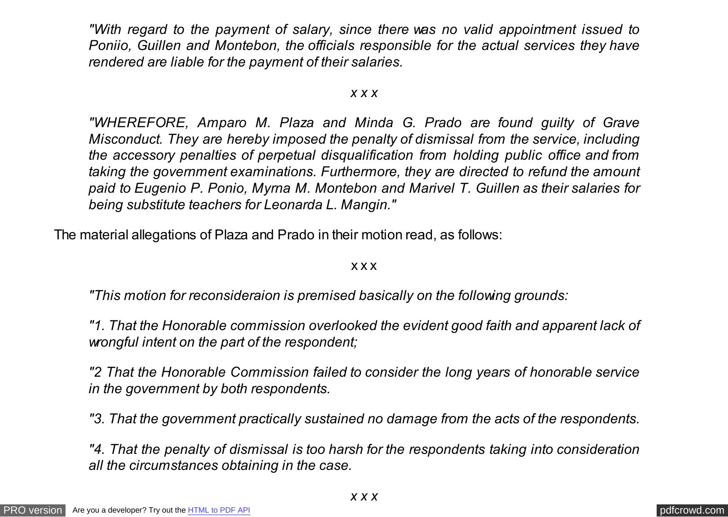*"With regard to the payment of salary, since there was no valid appointment issued to Poniio, Guillen and Montebon, the officials responsible for the actual services they have rendered are liable for the payment of their salaries.*

#### *x x x*

*"WHEREFORE, Amparo M. Plaza and Minda G. Prado are found guilty of Grave Misconduct. They are hereby imposed the penalty of dismissal from the service, including the accessory penalties of perpetual disqualification from holding public office and from taking the government examinations. Furthermore, they are directed to refund the amount paid to Eugenio P. Ponio, Myrna M. Montebon and Marivel T. Guillen as their salaries for being substitute teachers for Leonarda L. Mangin."*

The material allegations of Plaza and Prado in their motion read, as follows:

#### x x x

*"This motion for reconsideraion is premised basically on the following grounds:*

*"1. That the Honorable commission overlooked the evident good faith and apparent lack of wrongful intent on the part of the respondent;*

*"2 That the Honorable Commission failed to consider the long years of honorable service in the government by both respondents.*

*"3. That the government practically sustained no damage from the acts of the respondents.*

*"4. That the penalty of dismissal is too harsh for the respondents taking into consideration all the circumstances obtaining in the case.*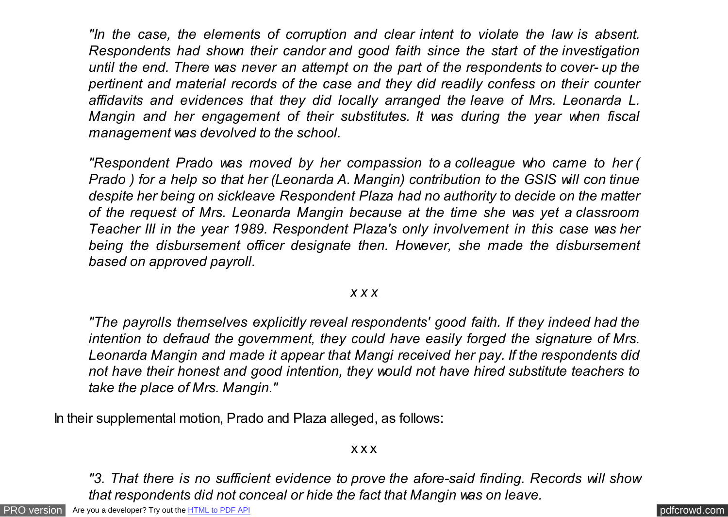*"In the case, the elements of corruption and clear intent to violate the law is absent. Respondents had shown their candor and good faith since the start of the investigation until the end. There was never an attempt on the part of the respondents to cover- up the pertinent and material records of the case and they did readily confess on their counter affidavits and evidences that they did locally arranged the leave of Mrs. Leonarda L. Mangin and her engagement of their substitutes. It was during the year when fiscal management was devolved to the school.*

*"Respondent Prado was moved by her compassion to a colleague who came to her ( Prado ) for a help so that her (Leonarda A. Mangin) contribution to the GSIS will con tinue despite her being on sickleave Respondent Plaza had no authority to decide on the matter of the request of Mrs. Leonarda Mangin because at the time she was yet a classroom Teacher III in the year 1989. Respondent Plaza's only involvement in this case was her being the disbursement officer designate then. However, she made the disbursement based on approved payroll.*

### *x x x*

*"The payrolls themselves explicitly reveal respondents' good faith. If they indeed had the intention to defraud the government, they could have easily forged the signature of Mrs. Leonarda Mangin and made it appear that Mangi received her pay. If the respondents did not have their honest and good intention, they would not have hired substitute teachers to take the place of Mrs. Mangin."*

In their supplemental motion, Prado and Plaza alleged, as follows:

x x x

*"3. That there is no sufficient evidence to prove the afore-said finding. Records will show that respondents did not conceal or hide the fact that Mangin was on leave.*

[PRO version](http://pdfcrowd.com/customize/) Are you a developer? Try out th[e HTML to PDF API](http://pdfcrowd.com/html-to-pdf-api/?ref=pdf) contract the CHTML of PDF API [pdfcrowd.com](http://pdfcrowd.com)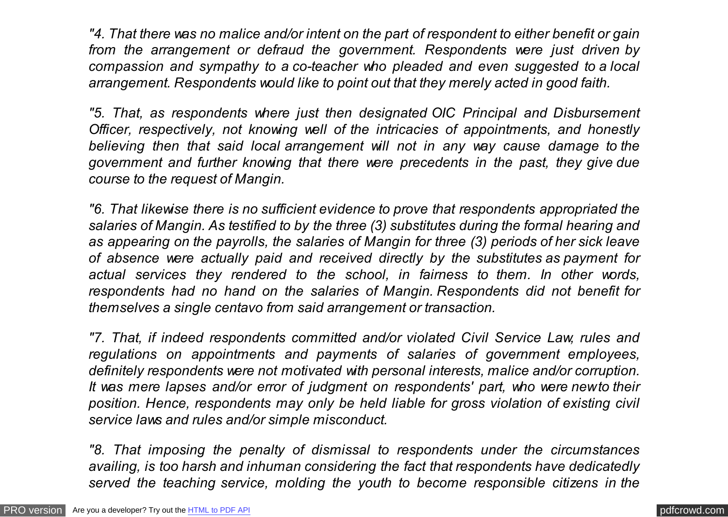*"4. That there was no malice and/or intent on the part of respondent to either benefit or gain from the arrangement or defraud the government. Respondents were just driven by compassion and sympathy to a co-teacher who pleaded and even suggested to a local arrangement. Respondents would like to point out that they merely acted in good faith.*

*"5. That, as respondents where just then designated OIC Principal and Disbursement Officer, respectively, not knowing well of the intricacies of appointments, and honestly believing then that said local arrangement will not in any way cause damage to the government and further knowing that there were precedents in the past, they give due course to the request of Mangin.*

*"6. That likewise there is no sufficient evidence to prove that respondents appropriated the salaries of Mangin. As testified to by the three (3) substitutes during the formal hearing and as appearing on the payrolls, the salaries of Mangin for three (3) periods of her sick leave of absence were actually paid and received directly by the substitutes as payment for actual services they rendered to the school, in fairness to them. In other words, respondents had no hand on the salaries of Mangin. Respondents did not benefit for themselves a single centavo from said arrangement or transaction.*

*"7. That, if indeed respondents committed and/or violated Civil Service Law, rules and regulations on appointments and payments of salaries of government employees, definitely respondents were not motivated with personal interests, malice and/or corruption. It was mere lapses and/or error of judgment on respondents' part, who were new to their position. Hence, respondents may only be held liable for gross violation of existing civil service laws and rules and/or simple misconduct.*

*"8. That imposing the penalty of dismissal to respondents under the circumstances availing, is too harsh and inhuman considering the fact that respondents have dedicatedly served the teaching service, molding the youth to become responsible citizens in the*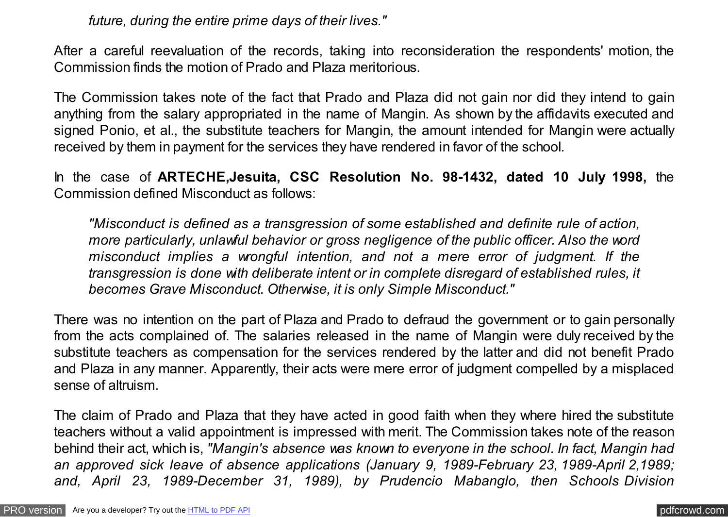*future, during the entire prime days of their lives."*

After a careful reevaluation of the records, taking into reconsideration the respondents' motion, the Commission finds the motion of Prado and Plaza meritorious.

The Commission takes note of the fact that Prado and Plaza did not gain nor did they intend to gain anything from the salary appropriated in the name of Mangin. As shown by the affidavits executed and signed Ponio, et al., the substitute teachers for Mangin, the amount intended for Mangin were actually received by them in payment for the services they have rendered in favor of the school.

In the case of **ARTECHE,Jesuita, CSC Resolution No. 98-1432, dated 10 July 1998,** the Commission defined Misconduct as follows:

*"Misconduct is defined as a transgression of some established and definite rule of action, more particularly, unlawful behavior or gross negligence of the public officer. Also the word misconduct implies a wrongful intention, and not a mere error of judgment. If the transgression is done with deliberate intent or in complete disregard of established rules, it becomes Grave Misconduct. Otherwise, it is only Simple Misconduct."*

There was no intention on the part of Plaza and Prado to defraud the government or to gain personally from the acts complained of. The salaries released in the name of Mangin were duly received by the substitute teachers as compensation for the services rendered by the latter and did not benefit Prado and Plaza in any manner. Apparently, their acts were mere error of judgment compelled by a misplaced sense of altruism.

The claim of Prado and Plaza that they have acted in good faith when they where hired the substitute teachers without a valid appointment is impressed with merit. The Commission takes note of the reason behind their act, which is, *"Mangin's absence was known to everyone in the school. In fact, Mangin had an approved sick leave of absence applications (January 9, 1989-February 23, 1989-April 2,1989; and, April 23, 1989-December 31, 1989), by Prudencio Mabanglo, then Schools Division*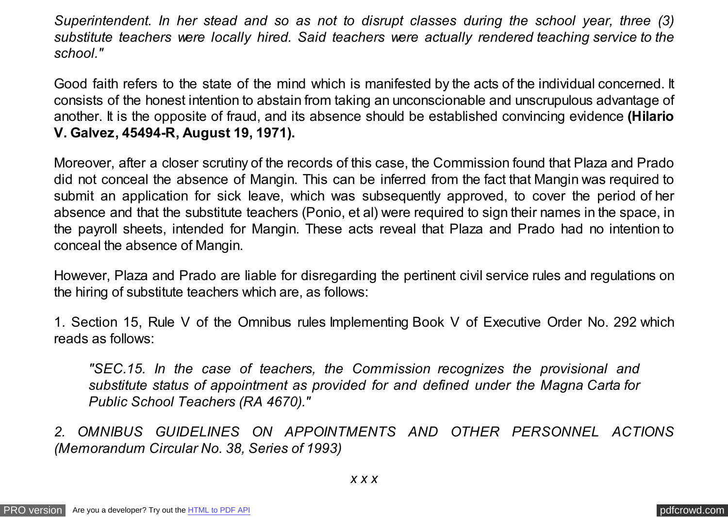*Superintendent. In her stead and so as not to disrupt classes during the school year, three (3) substitute teachers were locally hired. Said teachers were actually rendered teaching service to the school."*

Good faith refers to the state of the mind which is manifested by the acts of the individual concerned. It consists of the honest intention to abstain from taking an unconscionable and unscrupulous advantage of another. It is the opposite of fraud, and its absence should be established convincing evidence **(Hilario V. Galvez, 45494-R, August 19, 1971).**

Moreover, after a closer scrutiny of the records of this case, the Commission found that Plaza and Prado did not conceal the absence of Mangin. This can be inferred from the fact that Mangin was required to submit an application for sick leave, which was subsequently approved, to cover the period of her absence and that the substitute teachers (Ponio, et al) were required to sign their names in the space, in the payroll sheets, intended for Mangin. These acts reveal that Plaza and Prado had no intention to conceal the absence of Mangin.

However, Plaza and Prado are liable for disregarding the pertinent civil service rules and regulations on the hiring of substitute teachers which are, as follows:

1. Section 15, Rule V of the Omnibus rules Implementing Book V of Executive Order No. 292 which reads as follows:

*"SEC.15. In the case of teachers, the Commission recognizes the provisional and substitute status of appointment as provided for and defined under the Magna Carta for Public School Teachers (RA 4670)."*

*2. OMNIBUS GUIDELINES ON APPOINTMENTS AND OTHER PERSONNEL ACTIONS (Memorandum Circular No. 38, Series of 1993)*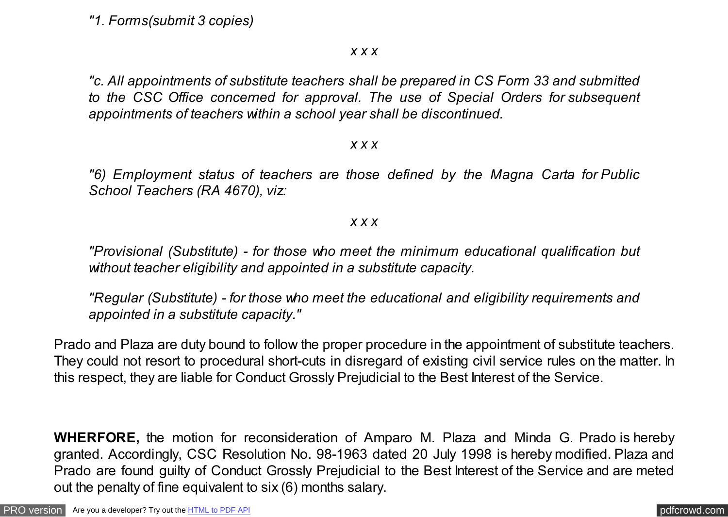*"1. Forms(submit 3 copies)*

*x x x*

*"c. All appointments of substitute teachers shall be prepared in CS Form 33 and submitted to the CSC Office concerned for approval. The use of Special Orders for subsequent appointments of teachers within a school year shall be discontinued.*

### *x x x*

*"6) Employment status of teachers are those defined by the Magna Carta for Public School Teachers (RA 4670), viz:*

### *x x x*

*"Provisional (Substitute) - for those who meet the minimum educational qualification but without teacher eligibility and appointed in a substitute capacity.*

*"Regular (Substitute) - for those who meet the educational and eligibility requirements and appointed in a substitute capacity."*

Prado and Plaza are duty bound to follow the proper procedure in the appointment of substitute teachers. They could not resort to procedural short-cuts in disregard of existing civil service rules on the matter. In this respect, they are liable for Conduct Grossly Prejudicial to the Best Interest of the Service.

**WHERFORE,** the motion for reconsideration of Amparo M. Plaza and Minda G. Prado is hereby granted. Accordingly, CSC Resolution No. 98-1963 dated 20 July 1998 is hereby modified. Plaza and Prado are found guilty of Conduct Grossly Prejudicial to the Best Interest of the Service and are meted out the penalty of fine equivalent to six (6) months salary.